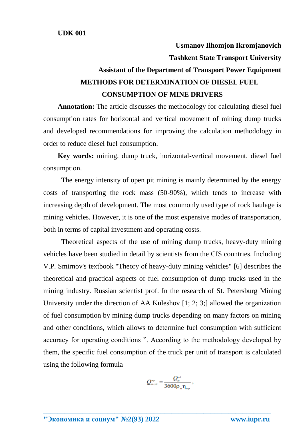**Usmanov Ilhomjon Ikromjanovich**

**Tashkent State Transport University**

## **Assistant of the Department of Transport Power Equipment METHODS FOR DETERMINATION OF DIESEL FUEL CONSUMPTION OF MINE DRIVERS**

**Annotation:** The article discusses the methodology for calculating diesel fuel consumption rates for horizontal and vertical movement of mining dump trucks and developed recommendations for improving the calculation methodology in order to reduce diesel fuel consumption.

**Key words:** mining, dump truck, horizontal-vertical movement, diesel fuel consumption.

The energy intensity of open pit mining is mainly determined by the energy costs of transporting the rock mass (50-90%), which tends to increase with increasing depth of development. The most commonly used type of rock haulage is mining vehicles. However, it is one of the most expensive modes of transportation, both in terms of capital investment and operating costs.

Theoretical aspects of the use of mining dump trucks, heavy-duty mining vehicles have been studied in detail by scientists from the CIS countries. Including V.P. Smirnov's textbook "Theory of heavy-duty mining vehicles" [6] describes the theoretical and practical aspects of fuel consumption of dump trucks used in the mining industry. Russian scientist prof. In the research of St. Petersburg Mining University under the direction of AA Kuleshov [1; 2; 3;] allowed the organization of fuel consumption by mining dump trucks depending on many factors on mining and other conditions, which allows to determine fuel consumption with sufficient accuracy for operating conditions ". According to the methodology developed by them, the specific fuel consumption of the truck per unit of transport is calculated using the following formula

$$
Q_{\scriptscriptstyle m,\nu\sigma}^{\scriptscriptstyle np} = \frac{Q_{\scriptscriptstyle m}^{\scriptscriptstyle \nu\sigma}}{3600 \rho_{\scriptscriptstyle m} \eta_{\scriptscriptstyle n\nu}},
$$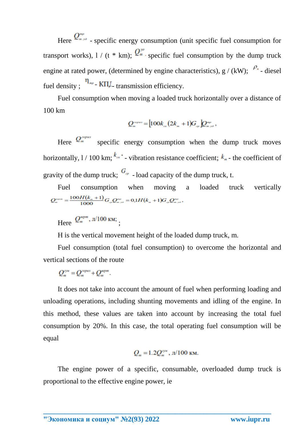Here  $Q_{m,n}^{\text{app}}$  - specific energy consumption (unit specific fuel consumption for transport works),  $1/(t * km)$ ;  $Q_{m}^{y\sigma}$  specific fuel consumption by the dump truck engine at rated power, (determined by engine characteristics),  $g / (kW)$ ;  $\frac{\rho_a}{\rho_a}$  - diesel fuel density ;  $\eta_{\mu\nu}$  - K $\Pi$ <sub>-</sub> transmission efficiency.

Fuel consumption when moving a loaded truck horizontally over a distance of 100 km

$$
Q_{m}^{2} = [100k_{\alpha}(2k_{m} + 1)G_{m} Q_{m, \omega},
$$

Here  $Q_{m}^{2\text{opus}}$  specific energy consumption when the dump truck moves horizontally,  $1/100$  km;  $k_{\infty}$  - vibration resistance coefficient;  $k_{\infty}$  - the coefficient of gravity of the dump truck;  $G_{\tau}$  - load capacity of the dump truck, t.

Fuel consumption when moving a loaded truck vertically  $Q_{m}^{_{expm}}=\frac{100H(k_{m}+1)}{1000}G_{m}Q_{m,y\partial}^{_{mp}}=0,1H(k_{m}+1)G_{m}Q_{m,y\partial}^{_{mp}},$ 

Here  $Q_m^{\text{sepm}}, \pi/100 \text{ km}$ ;

H is the vertical movement height of the loaded dump truck, m.

Fuel consumption (total fuel consumption) to overcome the horizontal and vertical sections of the route

 $Q^{\text{cym}} = Q^{\text{copus}} + Q^{\text{ccpm}}.$ 

It does not take into account the amount of fuel when performing loading and unloading operations, including shunting movements and idling of the engine. In this method, these values are taken into account by increasing the total fuel consumption by 20%. In this case, the total operating fuel consumption will be equal

$$
Q_m = 1.2 Q_m^{\text{cym}}
$$
,  $\pi/100 \text{ km}$ .

The engine power of a specific, consumable, overloaded dump truck is proportional to the effective engine power, ie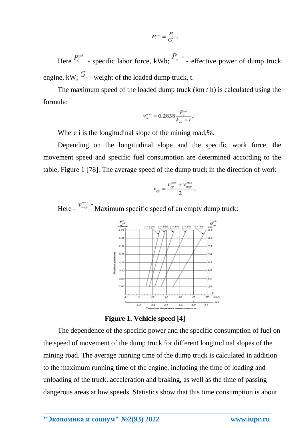$$
P_{c}^{y\partial}=\frac{P_{c}}{G_{c}},
$$

Here  $P_{\epsilon}^{p}$  - specific labor force, kWh;  $P_{\epsilon}$  - effective power of dump truck engine, kW;  $\mathcal{F}_{\epsilon}$  - weight of the loaded dump truck, t.

The maximum speed of the loaded dump truck  $(km / h)$  is calculated using the formula:

$$
v_{\infty}^{max} = 0.2838 \frac{P_{c}^{y\partial}}{k_{\infty} + i},
$$

Where i is the longitudinal slope of the mining road,%.

Depending on the longitudinal slope and the specific work force, the movement speed and specific fuel consumption are determined according to the table, Figure 1 [78]. The average speed of the dump truck in the direction of work

$$
v_{cp} = \frac{v_{cp}^{max} + v_{nop}^{max}}{2},
$$

Here -  $v_{\text{map}}^{\text{max}}$  - Maximum specific speed of an empty dump truck:



**Figure 1. Vehicle speed [4]**

The dependence of the specific power and the specific consumption of fuel on the speed of movement of the dump truck for different longitudinal slopes of the mining road. The average running time of the dump truck is calculated in addition to the maximum running time of the engine, including the time of loading and unloading of the truck, acceleration and braking, as well as the time of passing dangerous areas at low speeds. Statistics show that this time consumption is about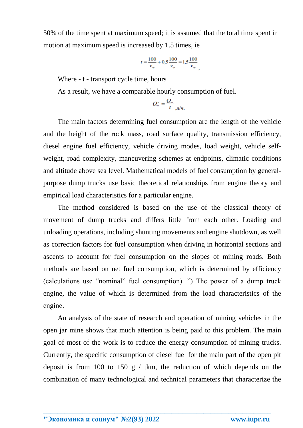50% of the time spent at maximum speed; it is assumed that the total time spent in motion at maximum speed is increased by 1.5 times, ie

$$
t = \frac{100}{v_{\varphi}} + 0.5 \frac{100}{v_{\varphi}} = 1.5 \frac{100}{v_{\varphi}}
$$

Where - t - transport cycle time, hours

As a result, we have a comparable hourly consumption of fuel.

$$
Q_m^* = \frac{Q_m}{t}_{\mu} q
$$

The main factors determining fuel consumption are the length of the vehicle and the height of the rock mass, road surface quality, transmission efficiency, diesel engine fuel efficiency, vehicle driving modes, load weight, vehicle selfweight, road complexity, maneuvering schemes at endpoints, climatic conditions and altitude above sea level. Mathematical models of fuel consumption by generalpurpose dump trucks use basic theoretical relationships from engine theory and empirical load characteristics for a particular engine.

The method considered is based on the use of the classical theory of movement of dump trucks and differs little from each other. Loading and unloading operations, including shunting movements and engine shutdown, as well as correction factors for fuel consumption when driving in horizontal sections and ascents to account for fuel consumption on the slopes of mining roads. Both methods are based on net fuel consumption, which is determined by efficiency (calculations use "nominal" fuel consumption). ") The power of a dump truck engine, the value of which is determined from the load characteristics of the engine.

An analysis of the state of research and operation of mining vehicles in the open jar mine shows that much attention is being paid to this problem. The main goal of most of the work is to reduce the energy consumption of mining trucks. Currently, the specific consumption of diesel fuel for the main part of the open pit deposit is from 100 to 150 g  $/$  tkm, the reduction of which depends on the combination of many technological and technical parameters that characterize the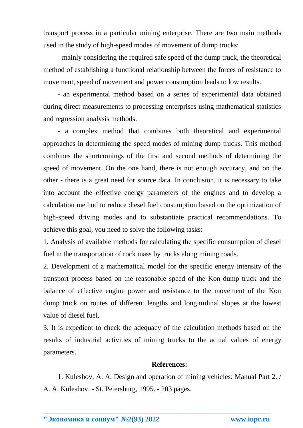transport process in a particular mining enterprise. There are two main methods used in the study of high-speed modes of movement of dump trucks:

- mainly considering the required safe speed of the dump truck, the theoretical method of establishing a functional relationship between the forces of resistance to movement, speed of movement and power consumption leads to low results.

- an experimental method based on a series of experimental data obtained during direct measurements to processing enterprises using mathematical statistics and regression analysis methods.

- a complex method that combines both theoretical and experimental approaches in determining the speed modes of mining dump trucks. This method combines the shortcomings of the first and second methods of determining the speed of movement. On the one hand, there is not enough accuracy, and on the other - there is a great need for source data. In conclusion, it is necessary to take into account the effective energy parameters of the engines and to develop a calculation method to reduce diesel fuel consumption based on the optimization of high-speed driving modes and to substantiate practical recommendations. To achieve this goal, you need to solve the following tasks:

1. Analysis of available methods for calculating the specific consumption of diesel fuel in the transportation of rock mass by trucks along mining roads.

2. Development of a mathematical model for the specific energy intensity of the transport process based on the reasonable speed of the Kon dump truck and the balance of effective engine power and resistance to the movement of the Kon dump truck on routes of different lengths and longitudinal slopes at the lowest value of diesel fuel.

3. It is expedient to check the adequacy of the calculation methods based on the results of industrial activities of mining trucks to the actual values of energy parameters.

## **References:**

1. Kuleshov, A. A. Design and operation of mining vehicles: Manual Part 2. / А. A. Kuleshov. - St. Petersburg, 1995. - 203 pages.